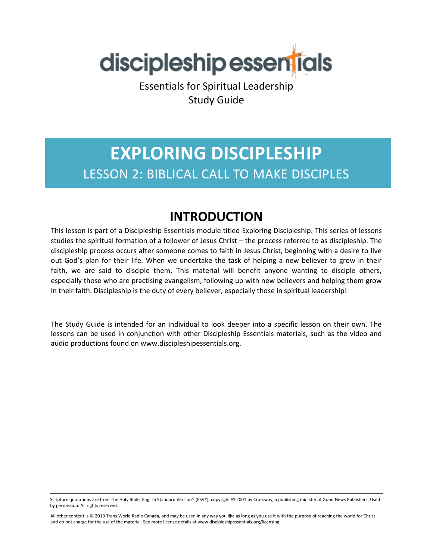

Essentials for Spiritual Leadership Study Guide

# **EXPLORING DISCIPLESHIP** LESSON 2: BIBLICAL CALL TO MAKE DISCIPLES

### **INTRODUCTION**

This lesson is part of a Discipleship Essentials module titled Exploring Discipleship. This series of lessons studies the spiritual formation of a follower of Jesus Christ – the process referred to as discipleship. The discipleship process occurs after someone comes to faith in Jesus Christ, beginning with a desire to live out God's plan for their life. When we undertake the task of helping a new believer to grow in their faith, we are said to disciple them. This material will benefit anyone wanting to disciple others, especially those who are practising evangelism, following up with new believers and helping them grow in their faith. Discipleship is the duty of every believer, especially those in spiritual leadership!

The Study Guide is intended for an individual to look deeper into a specific lesson on their own. The lessons can be used in conjunction with other Discipleship Essentials materials, such as the video and audio productions found on www.discipleshipessentials.org.

Scripture quotations are from The Holy Bible, English Standard Version® (ESV®), copyright © 2001 by Crossway, a publishing ministry of Good News Publishers. Used by permission. All rights reserved.

All other content is © 2019 Trans World Radio Canada, and may be used in any way you like as long as you use it with the purpose of reaching the world for Christ and do not charge for the use of the material. See more license details at www.discipleshipessentials.org/licensing.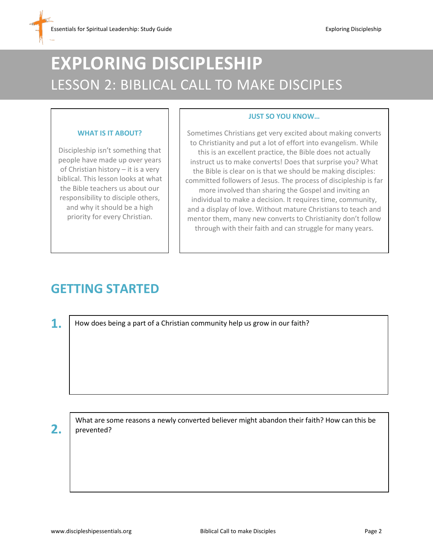# **EXPLORING DISCIPLESHIP** LESSON 2: BIBLICAL CALL TO MAKE DISCIPLES

#### **WHAT IS IT ABOUT?**

Discipleship isn't something that people have made up over years of Christian history – it is a very biblical. This lesson looks at what the Bible teachers us about our responsibility to disciple others, and why it should be a high priority for every Christian.

#### **JUST SO YOU KNOW…**

Sometimes Christians get very excited about making converts to Christianity and put a lot of effort into evangelism. While this is an excellent practice, the Bible does not actually instruct us to make converts! Does that surprise you? What the Bible is clear on is that we should be making disciples: committed followers of Jesus. The process of discipleship is far more involved than sharing the Gospel and inviting an individual to make a decision. It requires time, community, and a display of love. Without mature Christians to teach and mentor them, many new converts to Christianity don't follow through with their faith and can struggle for many years.

## **GETTING STARTED**

**1.**

How does being a part of a Christian community help us grow in our faith?

**2.**

What are some reasons a newly converted believer might abandon their faith? How can this be prevented?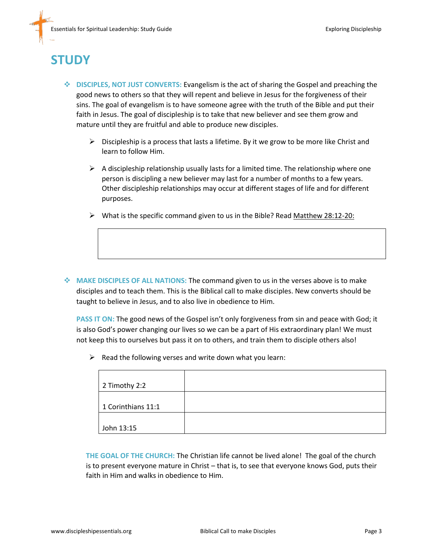## **STUDY**

- **DISCIPLES, NOT JUST CONVERTS:** Evangelism is the act of sharing the Gospel and preaching the good news to others so that they will repent and believe in Jesus for the forgiveness of their sins. The goal of evangelism is to have someone agree with the truth of the Bible and put their faith in Jesus. The goal of discipleship is to take that new believer and see them grow and mature until they are fruitful and able to produce new disciples.
	- $\triangleright$  Discipleship is a process that lasts a lifetime. By it we grow to be more like Christ and learn to follow Him.
	- $\triangleright$  A discipleship relationship usually lasts for a limited time. The relationship where one person is discipling a new believer may last for a number of months to a few years. Other discipleship relationships may occur at different stages of life and for different purposes.
	- $\triangleright$  What is the specific command given to us in the Bible? Read Matthew 28:12-20:

 **MAKE DISCIPLES OF ALL NATIONS:** The command given to us in the verses above is to make disciples and to teach them. This is the Biblical call to make disciples. New converts should be taught to believe in Jesus, and to also live in obedience to Him.

**PASS IT ON:** The good news of the Gospel isn't only forgiveness from sin and peace with God; it is also God's power changing our lives so we can be a part of His extraordinary plan! We must not keep this to ourselves but pass it on to others, and train them to disciple others also!

 $\triangleright$  Read the following verses and write down what you learn:

| 2 Timothy 2:2      |  |
|--------------------|--|
| 1 Corinthians 11:1 |  |
| John 13:15         |  |

**THE GOAL OF THE CHURCH:** The Christian life cannot be lived alone! The goal of the church is to present everyone mature in Christ – that is, to see that everyone knows God, puts their faith in Him and walks in obedience to Him.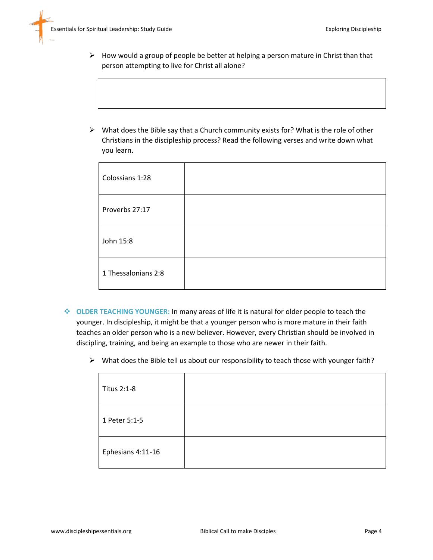- $\triangleright$  How would a group of people be better at helping a person mature in Christ than that person attempting to live for Christ all alone?
- $\triangleright$  What does the Bible say that a Church community exists for? What is the role of other Christians in the discipleship process? Read the following verses and write down what you learn.

| Colossians 1:28     |  |
|---------------------|--|
| Proverbs 27:17      |  |
| John 15:8           |  |
| 1 Thessalonians 2:8 |  |

- **OLDER TEACHING YOUNGER:** In many areas of life it is natural for older people to teach the younger. In discipleship, it might be that a younger person who is more mature in their faith teaches an older person who is a new believer. However, every Christian should be involved in discipling, training, and being an example to those who are newer in their faith.
	- $\triangleright$  What does the Bible tell us about our responsibility to teach those with younger faith?

| Titus 2:1-8       |  |
|-------------------|--|
| 1 Peter 5:1-5     |  |
| Ephesians 4:11-16 |  |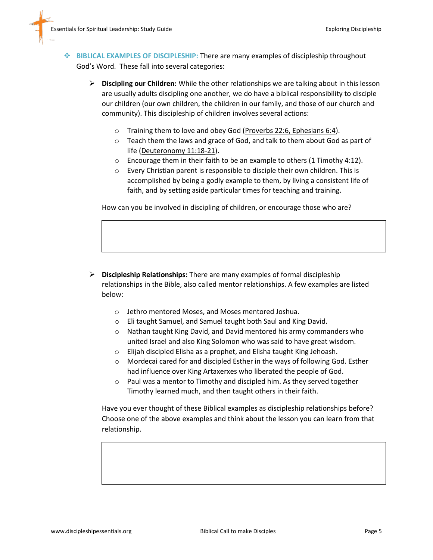- **BIBLICAL EXAMPLES OF DISCIPLESHIP:** There are many examples of discipleship throughout God's Word. These fall into several categories:
	- **Discipling our Children:** While the other relationships we are talking about in this lesson are usually adults discipling one another, we do have a biblical responsibility to disciple our children (our own children, the children in our family, and those of our church and community). This discipleship of children involves several actions:
		- o Training them to love and obey God (Proverbs 22:6, Ephesians 6:4).
		- o Teach them the laws and grace of God, and talk to them about God as part of life (Deuteronomy 11:18-21).
		- $\circ$  Encourage them in their faith to be an example to others (1 Timothy 4:12).
		- o Every Christian parent is responsible to disciple their own children. This is accomplished by being a godly example to them, by living a consistent life of faith, and by setting aside particular times for teaching and training.

How can you be involved in discipling of children, or encourage those who are?

- **Discipleship Relationships:** There are many examples of formal discipleship relationships in the Bible, also called mentor relationships. A few examples are listed below:
	- o Jethro mentored Moses, and Moses mentored Joshua.
	- o Eli taught Samuel, and Samuel taught both Saul and King David.
	- o Nathan taught King David, and David mentored his army commanders who united Israel and also King Solomon who was said to have great wisdom.
	- o Elijah discipled Elisha as a prophet, and Elisha taught King Jehoash.
	- o Mordecai cared for and discipled Esther in the ways of following God. Esther had influence over King Artaxerxes who liberated the people of God.
	- o Paul was a mentor to Timothy and discipled him. As they served together Timothy learned much, and then taught others in their faith.

Have you ever thought of these Biblical examples as discipleship relationships before? Choose one of the above examples and think about the lesson you can learn from that relationship.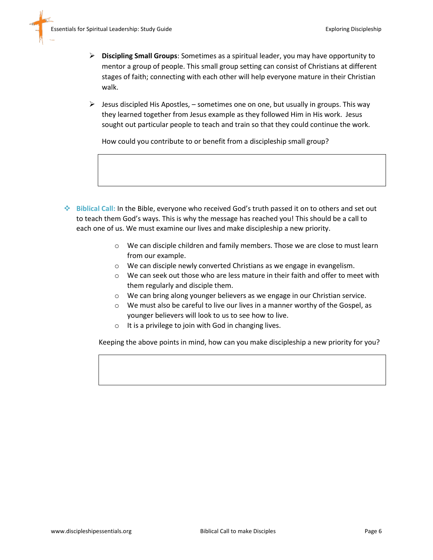- **Discipling Small Groups**: Sometimes as a spiritual leader, you may have opportunity to mentor a group of people. This small group setting can consist of Christians at different stages of faith; connecting with each other will help everyone mature in their Christian walk.
- $\triangleright$  Jesus discipled His Apostles, sometimes one on one, but usually in groups. This way they learned together from Jesus example as they followed Him in His work. Jesus sought out particular people to teach and train so that they could continue the work*.*

How could you contribute to or benefit from a discipleship small group?

- **Biblical Call:** In the Bible, everyone who received God's truth passed it on to others and set out to teach them God's ways. This is why the message has reached you! This should be a call to each one of us. We must examine our lives and make discipleship a new priority.
	- o We can disciple children and family members. Those we are close to must learn from our example.
	- o We can disciple newly converted Christians as we engage in evangelism.
	- o We can seek out those who are less mature in their faith and offer to meet with them regularly and disciple them.
	- o We can bring along younger believers as we engage in our Christian service.
	- o We must also be careful to live our lives in a manner worthy of the Gospel, as younger believers will look to us to see how to live.
	- $\circ$  It is a privilege to join with God in changing lives.

Keeping the above points in mind, how can you make discipleship a new priority for you?